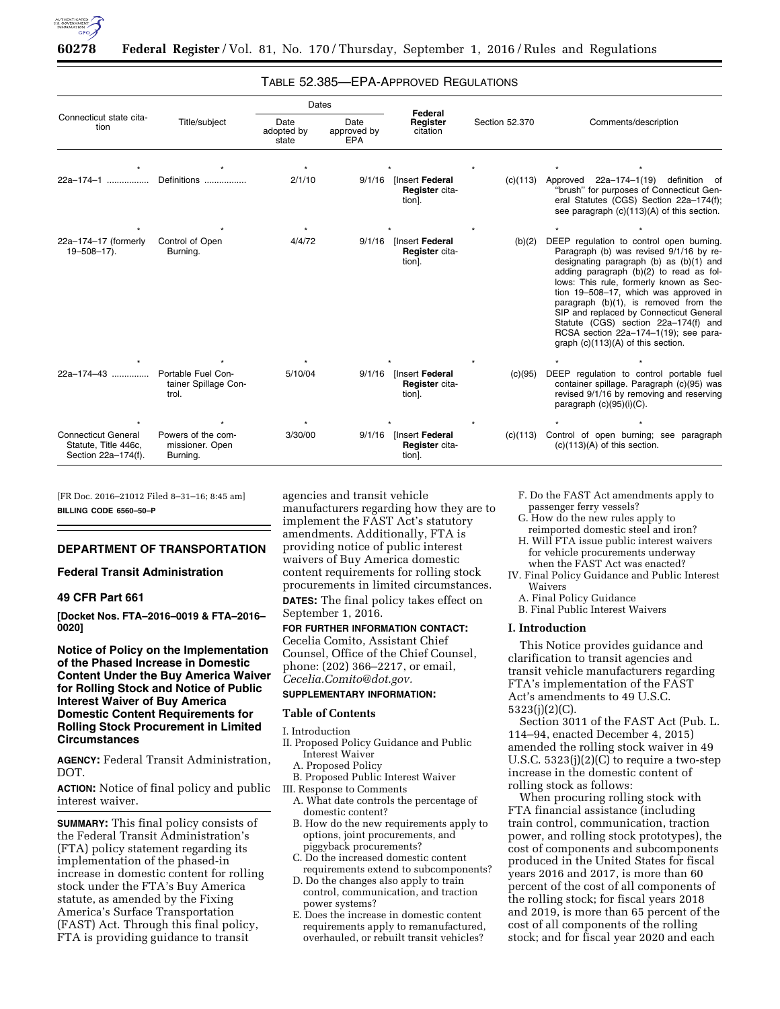

# TABLE 52.385—EPA-APPROVED REGULATIONS

| Connecticut state cita-<br>tion                                           | Title/subject                                       | Dates                       |                                   |                                                    |                |                                                                                                                                                                                                                                                                                                                                                                                                                                                                            |
|---------------------------------------------------------------------------|-----------------------------------------------------|-----------------------------|-----------------------------------|----------------------------------------------------|----------------|----------------------------------------------------------------------------------------------------------------------------------------------------------------------------------------------------------------------------------------------------------------------------------------------------------------------------------------------------------------------------------------------------------------------------------------------------------------------------|
|                                                                           |                                                     | Date<br>adopted by<br>state | Date<br>approved by<br><b>EPA</b> | Federal<br>Register<br>citation                    | Section 52,370 | Comments/description                                                                                                                                                                                                                                                                                                                                                                                                                                                       |
|                                                                           |                                                     |                             |                                   |                                                    |                |                                                                                                                                                                                                                                                                                                                                                                                                                                                                            |
| 22a-174-1                                                                 | Definitions                                         | 2/1/10                      |                                   | 9/1/16 [Insert Federal<br>Register cita-<br>tion]. | (c)(113)       | Approved 22a-174-1(19) definition of<br>"brush" for purposes of Connecticut Gen-<br>eral Statutes (CGS) Section 22a-174(f);<br>see paragraph (c)(113)(A) of this section.                                                                                                                                                                                                                                                                                                  |
|                                                                           |                                                     |                             |                                   |                                                    |                |                                                                                                                                                                                                                                                                                                                                                                                                                                                                            |
| 22a-174-17 (formerly<br>$19 - 508 - 17$ ).                                | Control of Open<br>Burning.                         | 4/4/72                      | 9/1/16                            | Insert Federal<br>Register cita-<br>tion].         | (b)(2)         | DEEP regulation to control open burning.<br>Paragraph (b) was revised 9/1/16 by re-<br>designating paragraph (b) as (b)(1) and<br>adding paragraph (b)(2) to read as fol-<br>lows: This rule, formerly known as Sec-<br>tion 19-508-17, which was approved in<br>paragraph (b)(1), is removed from the<br>SIP and replaced by Connecticut General<br>Statute (CGS) section 22a-174(f) and<br>RCSA section 22a-174-1(19); see para-<br>graph $(c)(113)(A)$ of this section. |
|                                                                           |                                                     |                             |                                   |                                                    |                |                                                                                                                                                                                                                                                                                                                                                                                                                                                                            |
| 22a-174-43                                                                | Portable Fuel Con-<br>tainer Spillage Con-<br>trol. | 5/10/04                     | 9/1/16                            | [Insert Federal<br>Register cita-<br>tion].        | (c)(95)        | DEEP regulation to control portable fuel<br>container spillage. Paragraph (c)(95) was<br>revised 9/1/16 by removing and reserving<br>paragraph $(c)(95)(i)(C)$ .                                                                                                                                                                                                                                                                                                           |
|                                                                           |                                                     |                             |                                   |                                                    |                |                                                                                                                                                                                                                                                                                                                                                                                                                                                                            |
| <b>Connecticut General</b><br>Statute, Title 446c,<br>Section 22a-174(f). | Powers of the com-<br>missioner. Open<br>Burning.   | 3/30/00                     |                                   | 9/1/16 [Insert Federal<br>Register cita-<br>tion]. |                | (c)(113) Control of open burning; see paragraph<br>$(c)(113)(A)$ of this section.                                                                                                                                                                                                                                                                                                                                                                                          |

[FR Doc. 2016–21012 Filed 8–31–16; 8:45 am] **BILLING CODE 6560–50–P** 

### **DEPARTMENT OF TRANSPORTATION**

# **Federal Transit Administration**

#### **49 CFR Part 661**

**[Docket Nos. FTA–2016–0019 & FTA–2016– 0020]** 

# **Notice of Policy on the Implementation of the Phased Increase in Domestic Content Under the Buy America Waiver for Rolling Stock and Notice of Public Interest Waiver of Buy America Domestic Content Requirements for Rolling Stock Procurement in Limited Circumstances**

**AGENCY:** Federal Transit Administration, DOT.

**ACTION:** Notice of final policy and public interest waiver.

**SUMMARY:** This final policy consists of the Federal Transit Administration's (FTA) policy statement regarding its implementation of the phased-in increase in domestic content for rolling stock under the FTA's Buy America statute, as amended by the Fixing America's Surface Transportation (FAST) Act. Through this final policy, FTA is providing guidance to transit

agencies and transit vehicle manufacturers regarding how they are to implement the FAST Act's statutory amendments. Additionally, FTA is providing notice of public interest waivers of Buy America domestic content requirements for rolling stock procurements in limited circumstances.

**DATES:** The final policy takes effect on September 1, 2016.

# **FOR FURTHER INFORMATION CONTACT:**

Cecelia Comito, Assistant Chief Counsel, Office of the Chief Counsel, phone: (202) 366–2217, or email, *[Cecelia.Comito@dot.gov.](mailto:Cecelia.Comito@dot.gov)* 

# **SUPPLEMENTARY INFORMATION:**

### **Table of Contents**

I. Introduction

- II. Proposed Policy Guidance and Public Interest Waiver
	- A. Proposed Policy
- B. Proposed Public Interest Waiver
- III. Response to Comments A. What date controls the percentage of domestic content?
	- B. How do the new requirements apply to options, joint procurements, and piggyback procurements?
	- C. Do the increased domestic content requirements extend to subcomponents?
	- D. Do the changes also apply to train control, communication, and traction power systems?
	- E. Does the increase in domestic content requirements apply to remanufactured, overhauled, or rebuilt transit vehicles?

F. Do the FAST Act amendments apply to passenger ferry vessels?

- G. How do the new rules apply to reimported domestic steel and iron?
- H. Will FTA issue public interest waivers for vehicle procurements underway
- when the FAST Act was enacted? IV. Final Policy Guidance and Public Interest Waivers
	- A. Final Policy Guidance
- B. Final Public Interest Waivers

## **I. Introduction**

This Notice provides guidance and clarification to transit agencies and transit vehicle manufacturers regarding FTA's implementation of the FAST Act's amendments to 49 U.S.C. 5323(j)(2)(C).

Section 3011 of the FAST Act (Pub. L. 114–94, enacted December 4, 2015) amended the rolling stock waiver in 49 U.S.C.  $5323(j)(2)(C)$  to require a two-step increase in the domestic content of rolling stock as follows:

When procuring rolling stock with FTA financial assistance (including train control, communication, traction power, and rolling stock prototypes), the cost of components and subcomponents produced in the United States for fiscal years 2016 and 2017, is more than 60 percent of the cost of all components of the rolling stock; for fiscal years 2018 and 2019, is more than 65 percent of the cost of all components of the rolling stock; and for fiscal year 2020 and each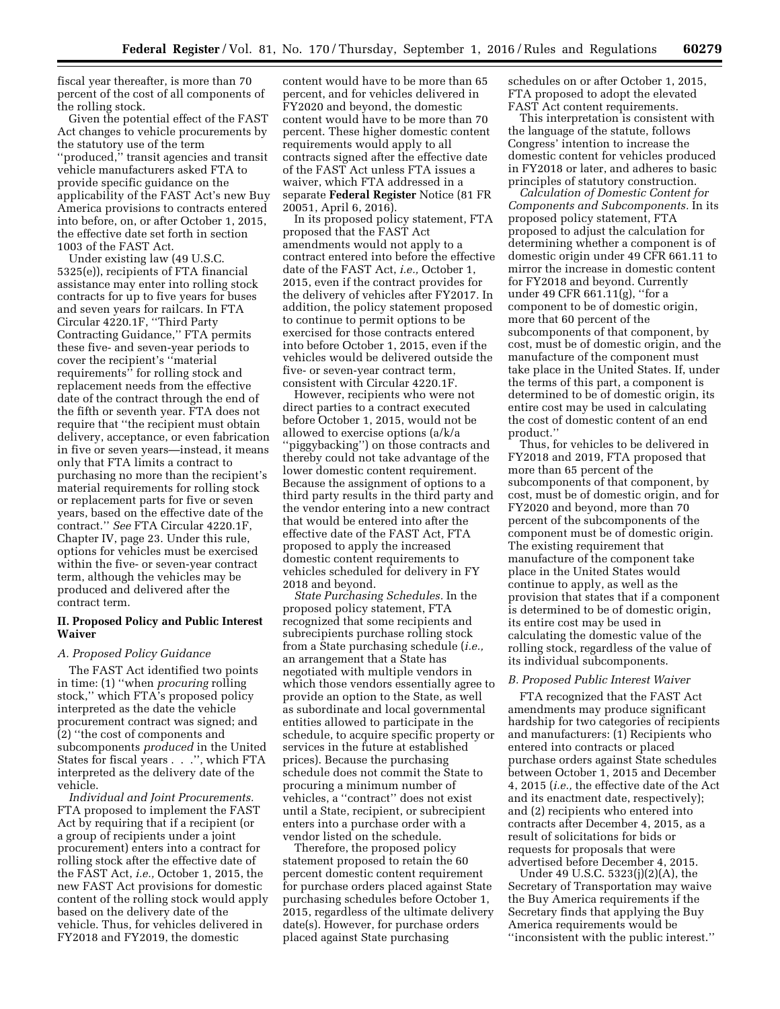fiscal year thereafter, is more than 70 percent of the cost of all components of the rolling stock.

Given the potential effect of the FAST Act changes to vehicle procurements by the statutory use of the term ''produced,'' transit agencies and transit vehicle manufacturers asked FTA to provide specific guidance on the applicability of the FAST Act's new Buy America provisions to contracts entered into before, on, or after October 1, 2015, the effective date set forth in section 1003 of the FAST Act.

Under existing law (49 U.S.C. 5325(e)), recipients of FTA financial assistance may enter into rolling stock contracts for up to five years for buses and seven years for railcars. In FTA Circular 4220.1F, ''Third Party Contracting Guidance,'' FTA permits these five- and seven-year periods to cover the recipient's ''material requirements<sup>"</sup> for rolling stock and replacement needs from the effective date of the contract through the end of the fifth or seventh year. FTA does not require that ''the recipient must obtain delivery, acceptance, or even fabrication in five or seven years—instead, it means only that FTA limits a contract to purchasing no more than the recipient's material requirements for rolling stock or replacement parts for five or seven years, based on the effective date of the contract.'' *See* FTA Circular 4220.1F, Chapter IV, page 23. Under this rule, options for vehicles must be exercised within the five- or seven-year contract term, although the vehicles may be produced and delivered after the contract term.

# **II. Proposed Policy and Public Interest Waiver**

# *A. Proposed Policy Guidance*

The FAST Act identified two points in time: (1) ''when *procuring* rolling stock,'' which FTA's proposed policy interpreted as the date the vehicle procurement contract was signed; and (2) ''the cost of components and subcomponents *produced* in the United States for fiscal years . . .'', which FTA interpreted as the delivery date of the vehicle.

*Individual and Joint Procurements.*  FTA proposed to implement the FAST Act by requiring that if a recipient (or a group of recipients under a joint procurement) enters into a contract for rolling stock after the effective date of the FAST Act, *i.e.,* October 1, 2015, the new FAST Act provisions for domestic content of the rolling stock would apply based on the delivery date of the vehicle. Thus, for vehicles delivered in FY2018 and FY2019, the domestic

content would have to be more than 65 percent, and for vehicles delivered in FY2020 and beyond, the domestic content would have to be more than 70 percent. These higher domestic content requirements would apply to all contracts signed after the effective date of the FAST Act unless FTA issues a waiver, which FTA addressed in a separate **Federal Register** Notice (81 FR 20051, April 6, 2016).

In its proposed policy statement, FTA proposed that the FAST Act amendments would not apply to a contract entered into before the effective date of the FAST Act, *i.e.,* October 1, 2015, even if the contract provides for the delivery of vehicles after FY2017. In addition, the policy statement proposed to continue to permit options to be exercised for those contracts entered into before October 1, 2015, even if the vehicles would be delivered outside the five- or seven-year contract term, consistent with Circular 4220.1F.

However, recipients who were not direct parties to a contract executed before October 1, 2015, would not be allowed to exercise options (a/k/a ''piggybacking'') on those contracts and thereby could not take advantage of the lower domestic content requirement. Because the assignment of options to a third party results in the third party and the vendor entering into a new contract that would be entered into after the effective date of the FAST Act, FTA proposed to apply the increased domestic content requirements to vehicles scheduled for delivery in FY 2018 and beyond.

*State Purchasing Schedules.* In the proposed policy statement, FTA recognized that some recipients and subrecipients purchase rolling stock from a State purchasing schedule (*i.e.,*  an arrangement that a State has negotiated with multiple vendors in which those vendors essentially agree to provide an option to the State, as well as subordinate and local governmental entities allowed to participate in the schedule, to acquire specific property or services in the future at established prices). Because the purchasing schedule does not commit the State to procuring a minimum number of vehicles, a ''contract'' does not exist until a State, recipient, or subrecipient enters into a purchase order with a vendor listed on the schedule.

Therefore, the proposed policy statement proposed to retain the 60 percent domestic content requirement for purchase orders placed against State purchasing schedules before October 1, 2015, regardless of the ultimate delivery date(s). However, for purchase orders placed against State purchasing

schedules on or after October 1, 2015, FTA proposed to adopt the elevated FAST Act content requirements.

This interpretation is consistent with the language of the statute, follows Congress' intention to increase the domestic content for vehicles produced in FY2018 or later, and adheres to basic principles of statutory construction.

*Calculation of Domestic Content for Components and Subcomponents.* In its proposed policy statement, FTA proposed to adjust the calculation for determining whether a component is of domestic origin under 49 CFR 661.11 to mirror the increase in domestic content for FY2018 and beyond. Currently under 49 CFR 661.11(g), ''for a component to be of domestic origin, more that 60 percent of the subcomponents of that component, by cost, must be of domestic origin, and the manufacture of the component must take place in the United States. If, under the terms of this part, a component is determined to be of domestic origin, its entire cost may be used in calculating the cost of domestic content of an end product.''

Thus, for vehicles to be delivered in FY2018 and 2019, FTA proposed that more than 65 percent of the subcomponents of that component, by cost, must be of domestic origin, and for FY2020 and beyond, more than 70 percent of the subcomponents of the component must be of domestic origin. The existing requirement that manufacture of the component take place in the United States would continue to apply, as well as the provision that states that if a component is determined to be of domestic origin, its entire cost may be used in calculating the domestic value of the rolling stock, regardless of the value of its individual subcomponents.

#### *B. Proposed Public Interest Waiver*

FTA recognized that the FAST Act amendments may produce significant hardship for two categories of recipients and manufacturers: (1) Recipients who entered into contracts or placed purchase orders against State schedules between October 1, 2015 and December 4, 2015 (*i.e.,* the effective date of the Act and its enactment date, respectively); and (2) recipients who entered into contracts after December 4, 2015, as a result of solicitations for bids or requests for proposals that were advertised before December 4, 2015.

Under 49 U.S.C. 5323(j)(2)(A), the Secretary of Transportation may waive the Buy America requirements if the Secretary finds that applying the Buy America requirements would be ''inconsistent with the public interest.''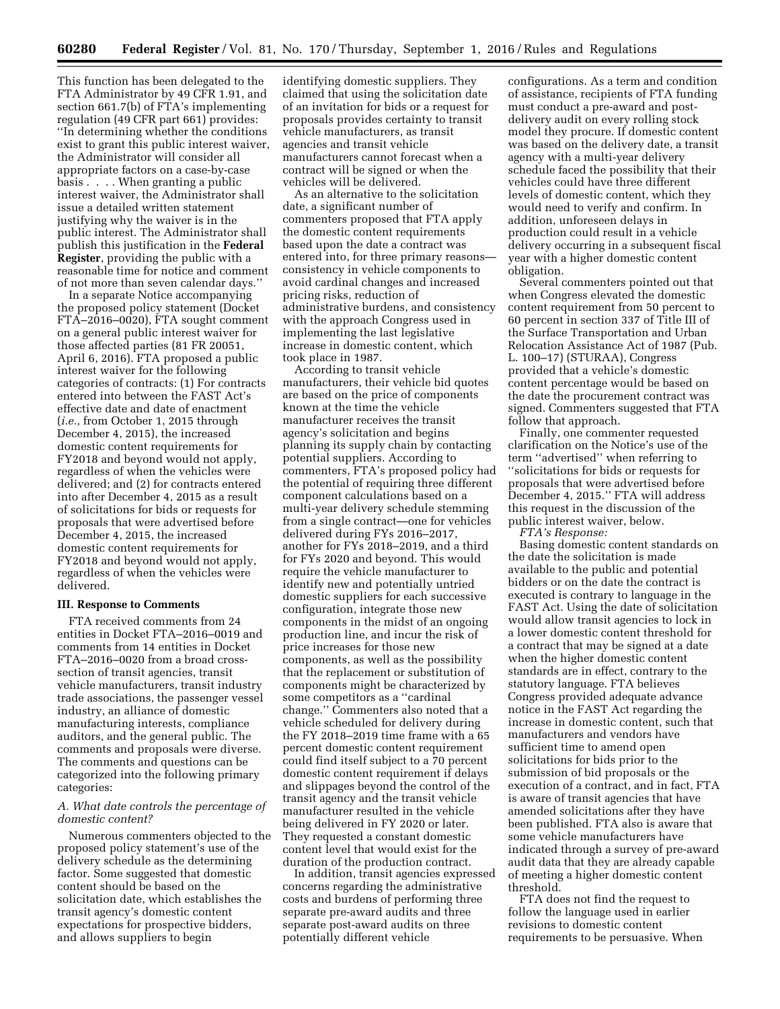This function has been delegated to the FTA Administrator by 49 CFR 1.91, and section 661.7(b) of FTA's implementing regulation (49 CFR part 661) provides: ''In determining whether the conditions exist to grant this public interest waiver, the Administrator will consider all appropriate factors on a case-by-case basis . . . . When granting a public interest waiver, the Administrator shall issue a detailed written statement justifying why the waiver is in the public interest. The Administrator shall publish this justification in the **Federal Register**, providing the public with a reasonable time for notice and comment of not more than seven calendar days.''

In a separate Notice accompanying the proposed policy statement (Docket FTA–2016–0020), FTA sought comment on a general public interest waiver for those affected parties (81 FR 20051, April 6, 2016). FTA proposed a public interest waiver for the following categories of contracts: (1) For contracts entered into between the FAST Act's effective date and date of enactment (*i.e.,* from October 1, 2015 through December 4, 2015), the increased domestic content requirements for FY2018 and beyond would not apply, regardless of when the vehicles were delivered; and (2) for contracts entered into after December 4, 2015 as a result of solicitations for bids or requests for proposals that were advertised before December 4, 2015, the increased domestic content requirements for FY2018 and beyond would not apply, regardless of when the vehicles were delivered.

### **III. Response to Comments**

FTA received comments from 24 entities in Docket FTA–2016–0019 and comments from 14 entities in Docket FTA–2016–0020 from a broad crosssection of transit agencies, transit vehicle manufacturers, transit industry trade associations, the passenger vessel industry, an alliance of domestic manufacturing interests, compliance auditors, and the general public. The comments and proposals were diverse. The comments and questions can be categorized into the following primary categories:

### *A. What date controls the percentage of domestic content?*

Numerous commenters objected to the proposed policy statement's use of the delivery schedule as the determining factor. Some suggested that domestic content should be based on the solicitation date, which establishes the transit agency's domestic content expectations for prospective bidders, and allows suppliers to begin

identifying domestic suppliers. They claimed that using the solicitation date of an invitation for bids or a request for proposals provides certainty to transit vehicle manufacturers, as transit agencies and transit vehicle manufacturers cannot forecast when a contract will be signed or when the vehicles will be delivered.

As an alternative to the solicitation date, a significant number of commenters proposed that FTA apply the domestic content requirements based upon the date a contract was entered into, for three primary reasons consistency in vehicle components to avoid cardinal changes and increased pricing risks, reduction of administrative burdens, and consistency with the approach Congress used in implementing the last legislative increase in domestic content, which took place in 1987.

According to transit vehicle manufacturers, their vehicle bid quotes are based on the price of components known at the time the vehicle manufacturer receives the transit agency's solicitation and begins planning its supply chain by contacting potential suppliers. According to commenters, FTA's proposed policy had the potential of requiring three different component calculations based on a multi-year delivery schedule stemming from a single contract—one for vehicles delivered during FYs 2016–2017, another for FYs 2018–2019, and a third for FYs 2020 and beyond. This would require the vehicle manufacturer to identify new and potentially untried domestic suppliers for each successive configuration, integrate those new components in the midst of an ongoing production line, and incur the risk of price increases for those new components, as well as the possibility that the replacement or substitution of components might be characterized by some competitors as a ''cardinal change.'' Commenters also noted that a vehicle scheduled for delivery during the FY 2018–2019 time frame with a 65 percent domestic content requirement could find itself subject to a 70 percent domestic content requirement if delays and slippages beyond the control of the transit agency and the transit vehicle manufacturer resulted in the vehicle being delivered in FY 2020 or later. They requested a constant domestic content level that would exist for the duration of the production contract.

In addition, transit agencies expressed concerns regarding the administrative costs and burdens of performing three separate pre-award audits and three separate post-award audits on three potentially different vehicle

configurations. As a term and condition of assistance, recipients of FTA funding must conduct a pre-award and postdelivery audit on every rolling stock model they procure. If domestic content was based on the delivery date, a transit agency with a multi-year delivery schedule faced the possibility that their vehicles could have three different levels of domestic content, which they would need to verify and confirm. In addition, unforeseen delays in production could result in a vehicle delivery occurring in a subsequent fiscal year with a higher domestic content obligation.

Several commenters pointed out that when Congress elevated the domestic content requirement from 50 percent to 60 percent in section 337 of Title III of the Surface Transportation and Urban Relocation Assistance Act of 1987 (Pub. L. 100–17) (STURAA), Congress provided that a vehicle's domestic content percentage would be based on the date the procurement contract was signed. Commenters suggested that FTA follow that approach.

Finally, one commenter requested clarification on the Notice's use of the term ''advertised'' when referring to ''solicitations for bids or requests for proposals that were advertised before December 4, 2015.'' FTA will address this request in the discussion of the public interest waiver, below.

*FTA's Response:* 

Basing domestic content standards on the date the solicitation is made available to the public and potential bidders or on the date the contract is executed is contrary to language in the FAST Act. Using the date of solicitation would allow transit agencies to lock in a lower domestic content threshold for a contract that may be signed at a date when the higher domestic content standards are in effect, contrary to the statutory language. FTA believes Congress provided adequate advance notice in the FAST Act regarding the increase in domestic content, such that manufacturers and vendors have sufficient time to amend open solicitations for bids prior to the submission of bid proposals or the execution of a contract, and in fact, FTA is aware of transit agencies that have amended solicitations after they have been published. FTA also is aware that some vehicle manufacturers have indicated through a survey of pre-award audit data that they are already capable of meeting a higher domestic content threshold.

FTA does not find the request to follow the language used in earlier revisions to domestic content requirements to be persuasive. When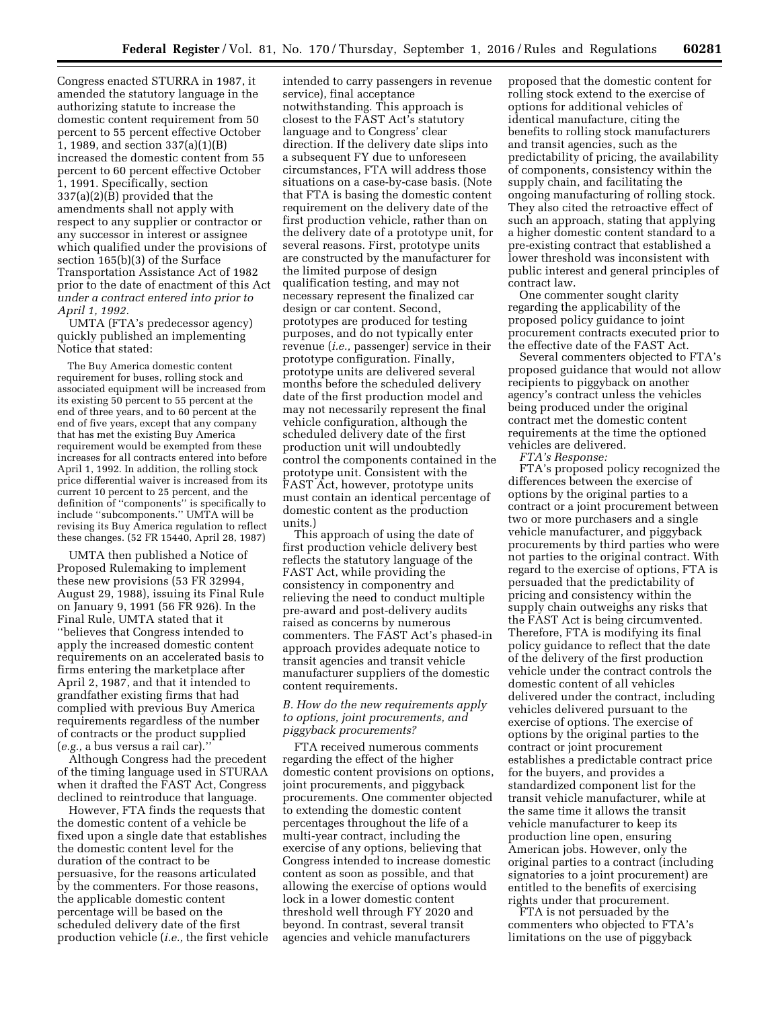Congress enacted STURRA in 1987, it amended the statutory language in the authorizing statute to increase the domestic content requirement from 50 percent to 55 percent effective October 1, 1989, and section 337(a)(1)(B) increased the domestic content from 55 percent to 60 percent effective October 1, 1991. Specifically, section 337(a)(2)(B) provided that the amendments shall not apply with respect to any supplier or contractor or any successor in interest or assignee which qualified under the provisions of section 165(b)(3) of the Surface Transportation Assistance Act of 1982 prior to the date of enactment of this Act *under a contract entered into prior to April 1, 1992.* 

UMTA (FTA's predecessor agency) quickly published an implementing Notice that stated:

The Buy America domestic content requirement for buses, rolling stock and associated equipment will be increased from its existing 50 percent to 55 percent at the end of three years, and to 60 percent at the end of five years, except that any company that has met the existing Buy America requirement would be exempted from these increases for all contracts entered into before April 1, 1992. In addition, the rolling stock price differential waiver is increased from its current 10 percent to 25 percent, and the definition of ''components'' is specifically to include ''subcomponents.'' UMTA will be revising its Buy America regulation to reflect these changes. (52 FR 15440, April 28, 1987)

UMTA then published a Notice of Proposed Rulemaking to implement these new provisions (53 FR 32994, August 29, 1988), issuing its Final Rule on January 9, 1991 (56 FR 926). In the Final Rule, UMTA stated that it ''believes that Congress intended to apply the increased domestic content requirements on an accelerated basis to firms entering the marketplace after April 2, 1987, and that it intended to grandfather existing firms that had complied with previous Buy America requirements regardless of the number of contracts or the product supplied (*e.g.,* a bus versus a rail car).''

Although Congress had the precedent of the timing language used in STURAA when it drafted the FAST Act, Congress declined to reintroduce that language.

However, FTA finds the requests that the domestic content of a vehicle be fixed upon a single date that establishes the domestic content level for the duration of the contract to be persuasive, for the reasons articulated by the commenters. For those reasons, the applicable domestic content percentage will be based on the scheduled delivery date of the first production vehicle (*i.e.,* the first vehicle intended to carry passengers in revenue service), final acceptance notwithstanding. This approach is closest to the FAST Act's statutory language and to Congress' clear direction. If the delivery date slips into a subsequent FY due to unforeseen circumstances, FTA will address those situations on a case-by-case basis. (Note that FTA is basing the domestic content requirement on the delivery date of the first production vehicle, rather than on the delivery date of a prototype unit, for several reasons. First, prototype units are constructed by the manufacturer for the limited purpose of design qualification testing, and may not necessary represent the finalized car design or car content. Second, prototypes are produced for testing purposes, and do not typically enter revenue (*i.e.,* passenger) service in their prototype configuration. Finally, prototype units are delivered several months before the scheduled delivery date of the first production model and may not necessarily represent the final vehicle configuration, although the scheduled delivery date of the first production unit will undoubtedly control the components contained in the prototype unit. Consistent with the FAST Act, however, prototype units must contain an identical percentage of domestic content as the production units.)

This approach of using the date of first production vehicle delivery best reflects the statutory language of the FAST Act, while providing the consistency in componentry and relieving the need to conduct multiple pre-award and post-delivery audits raised as concerns by numerous commenters. The FAST Act's phased-in approach provides adequate notice to transit agencies and transit vehicle manufacturer suppliers of the domestic content requirements.

## *B. How do the new requirements apply to options, joint procurements, and piggyback procurements?*

FTA received numerous comments regarding the effect of the higher domestic content provisions on options, joint procurements, and piggyback procurements. One commenter objected to extending the domestic content percentages throughout the life of a multi-year contract, including the exercise of any options, believing that Congress intended to increase domestic content as soon as possible, and that allowing the exercise of options would lock in a lower domestic content threshold well through FY 2020 and beyond. In contrast, several transit agencies and vehicle manufacturers

proposed that the domestic content for rolling stock extend to the exercise of options for additional vehicles of identical manufacture, citing the benefits to rolling stock manufacturers and transit agencies, such as the predictability of pricing, the availability of components, consistency within the supply chain, and facilitating the ongoing manufacturing of rolling stock. They also cited the retroactive effect of such an approach, stating that applying a higher domestic content standard to a pre-existing contract that established a lower threshold was inconsistent with public interest and general principles of contract law.

One commenter sought clarity regarding the applicability of the proposed policy guidance to joint procurement contracts executed prior to the effective date of the FAST Act.

Several commenters objected to FTA's proposed guidance that would not allow recipients to piggyback on another agency's contract unless the vehicles being produced under the original contract met the domestic content requirements at the time the optioned vehicles are delivered.

*FTA's Response:* 

FTA's proposed policy recognized the differences between the exercise of options by the original parties to a contract or a joint procurement between two or more purchasers and a single vehicle manufacturer, and piggyback procurements by third parties who were not parties to the original contract. With regard to the exercise of options, FTA is persuaded that the predictability of pricing and consistency within the supply chain outweighs any risks that the FAST Act is being circumvented. Therefore, FTA is modifying its final policy guidance to reflect that the date of the delivery of the first production vehicle under the contract controls the domestic content of all vehicles delivered under the contract, including vehicles delivered pursuant to the exercise of options. The exercise of options by the original parties to the contract or joint procurement establishes a predictable contract price for the buyers, and provides a standardized component list for the transit vehicle manufacturer, while at the same time it allows the transit vehicle manufacturer to keep its production line open, ensuring American jobs. However, only the original parties to a contract (including signatories to a joint procurement) are entitled to the benefits of exercising rights under that procurement.

FTA is not persuaded by the commenters who objected to FTA's limitations on the use of piggyback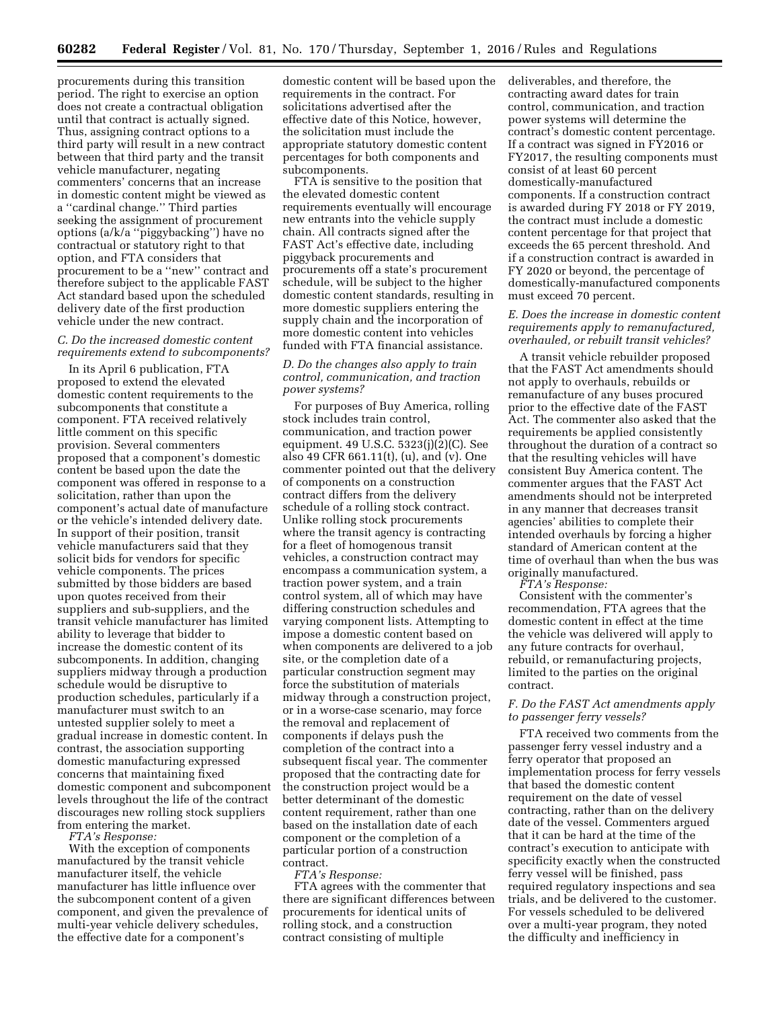procurements during this transition period. The right to exercise an option does not create a contractual obligation until that contract is actually signed. Thus, assigning contract options to a third party will result in a new contract between that third party and the transit vehicle manufacturer, negating commenters' concerns that an increase in domestic content might be viewed as a ''cardinal change.'' Third parties seeking the assignment of procurement options (a/k/a ''piggybacking'') have no contractual or statutory right to that option, and FTA considers that procurement to be a ''new'' contract and therefore subject to the applicable FAST Act standard based upon the scheduled delivery date of the first production vehicle under the new contract.

### *C. Do the increased domestic content requirements extend to subcomponents?*

In its April 6 publication, FTA proposed to extend the elevated domestic content requirements to the subcomponents that constitute a component. FTA received relatively little comment on this specific provision. Several commenters proposed that a component's domestic content be based upon the date the component was offered in response to a solicitation, rather than upon the component's actual date of manufacture or the vehicle's intended delivery date. In support of their position, transit vehicle manufacturers said that they solicit bids for vendors for specific vehicle components. The prices submitted by those bidders are based upon quotes received from their suppliers and sub-suppliers, and the transit vehicle manufacturer has limited ability to leverage that bidder to increase the domestic content of its subcomponents. In addition, changing suppliers midway through a production schedule would be disruptive to production schedules, particularly if a manufacturer must switch to an untested supplier solely to meet a gradual increase in domestic content. In contrast, the association supporting domestic manufacturing expressed concerns that maintaining fixed domestic component and subcomponent levels throughout the life of the contract discourages new rolling stock suppliers from entering the market.

*FTA's Response:* 

With the exception of components manufactured by the transit vehicle manufacturer itself, the vehicle manufacturer has little influence over the subcomponent content of a given component, and given the prevalence of multi-year vehicle delivery schedules, the effective date for a component's

domestic content will be based upon the requirements in the contract. For solicitations advertised after the effective date of this Notice, however, the solicitation must include the appropriate statutory domestic content percentages for both components and subcomponents.

FTA is sensitive to the position that the elevated domestic content requirements eventually will encourage new entrants into the vehicle supply chain. All contracts signed after the FAST Act's effective date, including piggyback procurements and procurements off a state's procurement schedule, will be subject to the higher domestic content standards, resulting in more domestic suppliers entering the supply chain and the incorporation of more domestic content into vehicles funded with FTA financial assistance.

# *D. Do the changes also apply to train control, communication, and traction power systems?*

For purposes of Buy America, rolling stock includes train control, communication, and traction power equipment. 49 U.S.C. 5323(j)(2)(C). See also 49 CFR 661.11(t), (u), and (v). One commenter pointed out that the delivery of components on a construction contract differs from the delivery schedule of a rolling stock contract. Unlike rolling stock procurements where the transit agency is contracting for a fleet of homogenous transit vehicles, a construction contract may encompass a communication system, a traction power system, and a train control system, all of which may have differing construction schedules and varying component lists. Attempting to impose a domestic content based on when components are delivered to a job site, or the completion date of a particular construction segment may force the substitution of materials midway through a construction project, or in a worse-case scenario, may force the removal and replacement of components if delays push the completion of the contract into a subsequent fiscal year. The commenter proposed that the contracting date for the construction project would be a better determinant of the domestic content requirement, rather than one based on the installation date of each component or the completion of a particular portion of a construction contract.

*FTA's Response:* 

FTA agrees with the commenter that there are significant differences between procurements for identical units of rolling stock, and a construction contract consisting of multiple

deliverables, and therefore, the contracting award dates for train control, communication, and traction power systems will determine the contract's domestic content percentage. If a contract was signed in FY2016 or FY2017, the resulting components must consist of at least 60 percent domestically-manufactured components. If a construction contract is awarded during FY 2018 or FY 2019, the contract must include a domestic content percentage for that project that exceeds the 65 percent threshold. And if a construction contract is awarded in FY 2020 or beyond, the percentage of domestically-manufactured components must exceed 70 percent.

## *E. Does the increase in domestic content requirements apply to remanufactured, overhauled, or rebuilt transit vehicles?*

A transit vehicle rebuilder proposed that the FAST Act amendments should not apply to overhauls, rebuilds or remanufacture of any buses procured prior to the effective date of the FAST Act. The commenter also asked that the requirements be applied consistently throughout the duration of a contract so that the resulting vehicles will have consistent Buy America content. The commenter argues that the FAST Act amendments should not be interpreted in any manner that decreases transit agencies' abilities to complete their intended overhauls by forcing a higher standard of American content at the time of overhaul than when the bus was originally manufactured.

*FTA's Response:* 

Consistent with the commenter's recommendation, FTA agrees that the domestic content in effect at the time the vehicle was delivered will apply to any future contracts for overhaul, rebuild, or remanufacturing projects, limited to the parties on the original contract.

# *F. Do the FAST Act amendments apply to passenger ferry vessels?*

FTA received two comments from the passenger ferry vessel industry and a ferry operator that proposed an implementation process for ferry vessels that based the domestic content requirement on the date of vessel contracting, rather than on the delivery date of the vessel. Commenters argued that it can be hard at the time of the contract's execution to anticipate with specificity exactly when the constructed ferry vessel will be finished, pass required regulatory inspections and sea trials, and be delivered to the customer. For vessels scheduled to be delivered over a multi-year program, they noted the difficulty and inefficiency in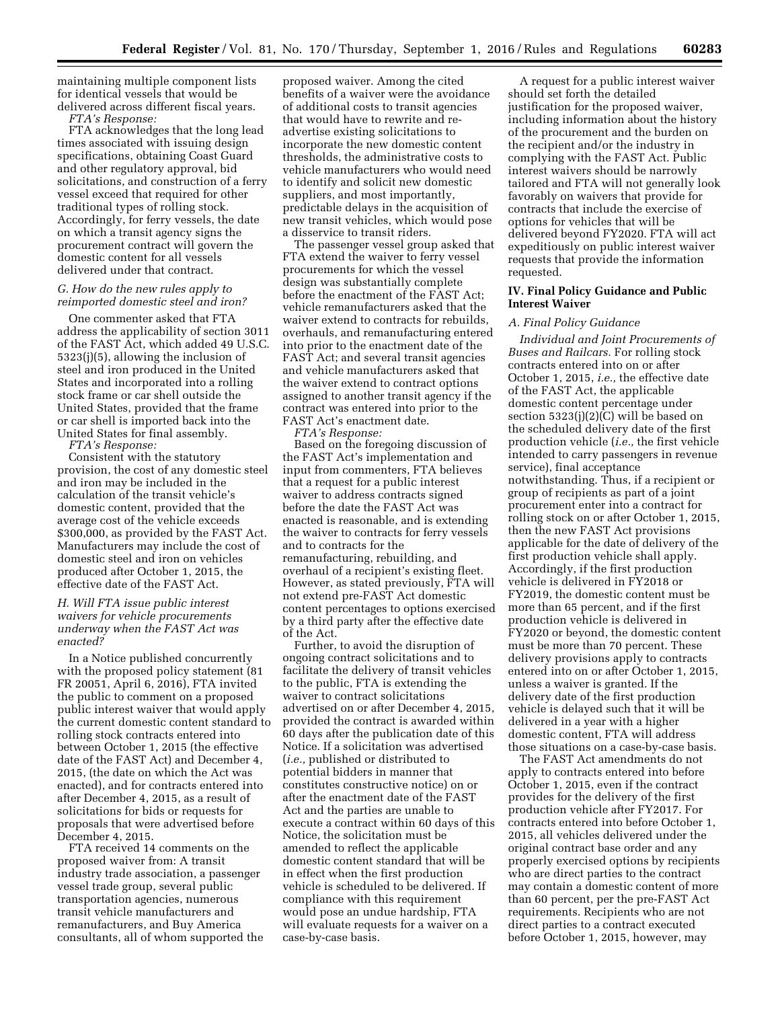maintaining multiple component lists for identical vessels that would be delivered across different fiscal years. *FTA's Response:* 

FTA acknowledges that the long lead times associated with issuing design specifications, obtaining Coast Guard and other regulatory approval, bid solicitations, and construction of a ferry vessel exceed that required for other traditional types of rolling stock. Accordingly, for ferry vessels, the date on which a transit agency signs the procurement contract will govern the domestic content for all vessels delivered under that contract.

# *G. How do the new rules apply to reimported domestic steel and iron?*

One commenter asked that FTA address the applicability of section 3011 of the FAST Act, which added 49 U.S.C. 5323(j)(5), allowing the inclusion of steel and iron produced in the United States and incorporated into a rolling stock frame or car shell outside the United States, provided that the frame or car shell is imported back into the United States for final assembly.

*FTA's Response:* 

Consistent with the statutory provision, the cost of any domestic steel and iron may be included in the calculation of the transit vehicle's domestic content, provided that the average cost of the vehicle exceeds \$300,000, as provided by the FAST Act. Manufacturers may include the cost of domestic steel and iron on vehicles produced after October 1, 2015, the effective date of the FAST Act.

## *H. Will FTA issue public interest waivers for vehicle procurements underway when the FAST Act was enacted?*

In a Notice published concurrently with the proposed policy statement (81 FR 20051, April 6, 2016), FTA invited the public to comment on a proposed public interest waiver that would apply the current domestic content standard to rolling stock contracts entered into between October 1, 2015 (the effective date of the FAST Act) and December 4, 2015, (the date on which the Act was enacted), and for contracts entered into after December 4, 2015, as a result of solicitations for bids or requests for proposals that were advertised before December 4, 2015.

FTA received 14 comments on the proposed waiver from: A transit industry trade association, a passenger vessel trade group, several public transportation agencies, numerous transit vehicle manufacturers and remanufacturers, and Buy America consultants, all of whom supported the

proposed waiver. Among the cited benefits of a waiver were the avoidance of additional costs to transit agencies that would have to rewrite and readvertise existing solicitations to incorporate the new domestic content thresholds, the administrative costs to vehicle manufacturers who would need to identify and solicit new domestic suppliers, and most importantly, predictable delays in the acquisition of new transit vehicles, which would pose a disservice to transit riders.

The passenger vessel group asked that FTA extend the waiver to ferry vessel procurements for which the vessel design was substantially complete before the enactment of the FAST Act; vehicle remanufacturers asked that the waiver extend to contracts for rebuilds, overhauls, and remanufacturing entered into prior to the enactment date of the FAST Act; and several transit agencies and vehicle manufacturers asked that the waiver extend to contract options assigned to another transit agency if the contract was entered into prior to the FAST Act's enactment date.

*FTA's Response:* 

Based on the foregoing discussion of the FAST Act's implementation and input from commenters, FTA believes that a request for a public interest waiver to address contracts signed before the date the FAST Act was enacted is reasonable, and is extending the waiver to contracts for ferry vessels and to contracts for the remanufacturing, rebuilding, and overhaul of a recipient's existing fleet. However, as stated previously, FTA will not extend pre-FAST Act domestic content percentages to options exercised by a third party after the effective date of the Act.

Further, to avoid the disruption of ongoing contract solicitations and to facilitate the delivery of transit vehicles to the public, FTA is extending the waiver to contract solicitations advertised on or after December 4, 2015, provided the contract is awarded within 60 days after the publication date of this Notice. If a solicitation was advertised (*i.e.,* published or distributed to potential bidders in manner that constitutes constructive notice) on or after the enactment date of the FAST Act and the parties are unable to execute a contract within 60 days of this Notice, the solicitation must be amended to reflect the applicable domestic content standard that will be in effect when the first production vehicle is scheduled to be delivered. If compliance with this requirement would pose an undue hardship, FTA will evaluate requests for a waiver on a case-by-case basis.

A request for a public interest waiver should set forth the detailed justification for the proposed waiver, including information about the history of the procurement and the burden on the recipient and/or the industry in complying with the FAST Act. Public interest waivers should be narrowly tailored and FTA will not generally look favorably on waivers that provide for contracts that include the exercise of options for vehicles that will be delivered beyond FY2020. FTA will act expeditiously on public interest waiver requests that provide the information requested.

### **IV. Final Policy Guidance and Public Interest Waiver**

#### *A. Final Policy Guidance*

*Individual and Joint Procurements of Buses and Railcars.* For rolling stock contracts entered into on or after October 1, 2015, *i.e.,* the effective date of the FAST Act, the applicable domestic content percentage under section 5323(j)(2)(C) will be based on the scheduled delivery date of the first production vehicle (*i.e.,* the first vehicle intended to carry passengers in revenue service), final acceptance notwithstanding. Thus, if a recipient or group of recipients as part of a joint procurement enter into a contract for rolling stock on or after October 1, 2015, then the new FAST Act provisions applicable for the date of delivery of the first production vehicle shall apply. Accordingly, if the first production vehicle is delivered in FY2018 or FY2019, the domestic content must be more than 65 percent, and if the first production vehicle is delivered in FY2020 or beyond, the domestic content must be more than 70 percent. These delivery provisions apply to contracts entered into on or after October 1, 2015, unless a waiver is granted. If the delivery date of the first production vehicle is delayed such that it will be delivered in a year with a higher domestic content, FTA will address those situations on a case-by-case basis.

The FAST Act amendments do not apply to contracts entered into before October 1, 2015, even if the contract provides for the delivery of the first production vehicle after FY2017. For contracts entered into before October 1, 2015, all vehicles delivered under the original contract base order and any properly exercised options by recipients who are direct parties to the contract may contain a domestic content of more than 60 percent, per the pre-FAST Act requirements. Recipients who are not direct parties to a contract executed before October 1, 2015, however, may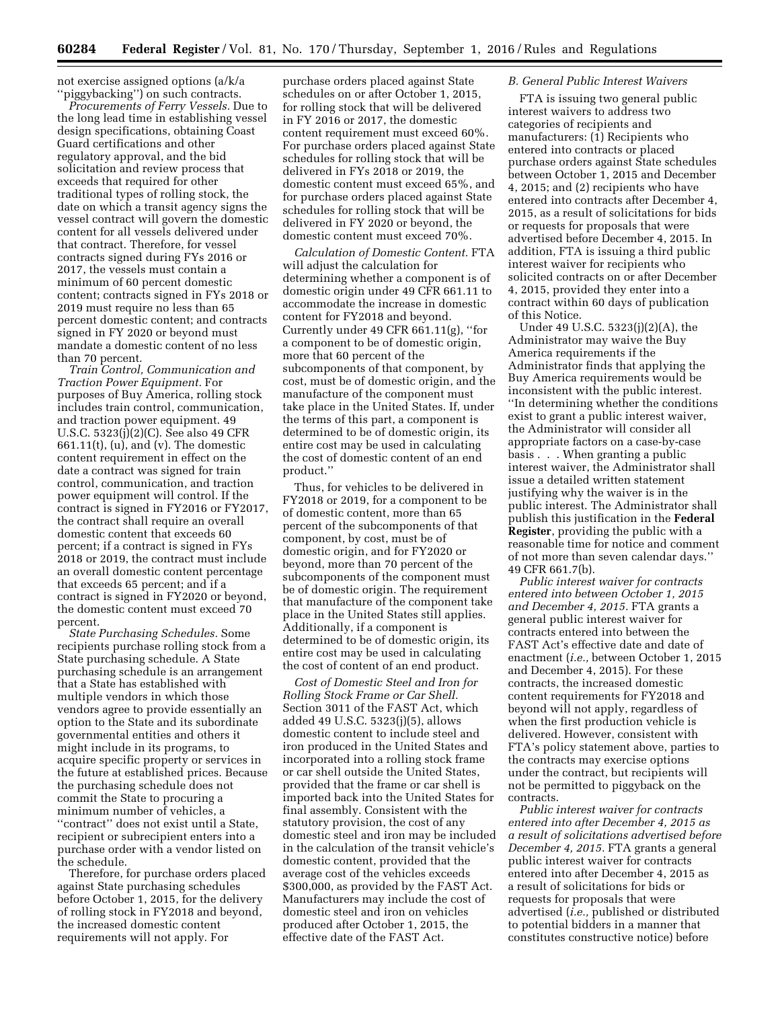not exercise assigned options (a/k/a ''piggybacking'') on such contracts.

*Procurements of Ferry Vessels.* Due to the long lead time in establishing vessel design specifications, obtaining Coast Guard certifications and other regulatory approval, and the bid solicitation and review process that exceeds that required for other traditional types of rolling stock, the date on which a transit agency signs the vessel contract will govern the domestic content for all vessels delivered under that contract. Therefore, for vessel contracts signed during FYs 2016 or 2017, the vessels must contain a minimum of 60 percent domestic content; contracts signed in FYs 2018 or 2019 must require no less than 65 percent domestic content; and contracts signed in FY 2020 or beyond must mandate a domestic content of no less than 70 percent.

*Train Control, Communication and Traction Power Equipment.* For purposes of Buy America, rolling stock includes train control, communication, and traction power equipment. 49 U.S.C. 5323(j)(2)(C). See also 49 CFR 661.11(t), (u), and (v). The domestic content requirement in effect on the date a contract was signed for train control, communication, and traction power equipment will control. If the contract is signed in FY2016 or FY2017, the contract shall require an overall domestic content that exceeds 60 percent; if a contract is signed in FYs 2018 or 2019, the contract must include an overall domestic content percentage that exceeds 65 percent; and if a contract is signed in FY2020 or beyond, the domestic content must exceed 70 percent.

*State Purchasing Schedules.* Some recipients purchase rolling stock from a State purchasing schedule. A State purchasing schedule is an arrangement that a State has established with multiple vendors in which those vendors agree to provide essentially an option to the State and its subordinate governmental entities and others it might include in its programs, to acquire specific property or services in the future at established prices. Because the purchasing schedule does not commit the State to procuring a minimum number of vehicles, a ''contract'' does not exist until a State, recipient or subrecipient enters into a purchase order with a vendor listed on the schedule.

Therefore, for purchase orders placed against State purchasing schedules before October 1, 2015, for the delivery of rolling stock in FY2018 and beyond, the increased domestic content requirements will not apply. For

purchase orders placed against State schedules on or after October 1, 2015, for rolling stock that will be delivered in FY 2016 or 2017, the domestic content requirement must exceed 60%. For purchase orders placed against State schedules for rolling stock that will be delivered in FYs 2018 or 2019, the domestic content must exceed 65%, and for purchase orders placed against State schedules for rolling stock that will be delivered in FY 2020 or beyond, the domestic content must exceed 70%.

*Calculation of Domestic Content.* FTA will adjust the calculation for determining whether a component is of domestic origin under 49 CFR 661.11 to accommodate the increase in domestic content for FY2018 and beyond. Currently under 49 CFR 661.11(g), ''for a component to be of domestic origin, more that 60 percent of the subcomponents of that component, by cost, must be of domestic origin, and the manufacture of the component must take place in the United States. If, under the terms of this part, a component is determined to be of domestic origin, its entire cost may be used in calculating the cost of domestic content of an end product.''

Thus, for vehicles to be delivered in FY2018 or 2019, for a component to be of domestic content, more than 65 percent of the subcomponents of that component, by cost, must be of domestic origin, and for FY2020 or beyond, more than 70 percent of the subcomponents of the component must be of domestic origin. The requirement that manufacture of the component take place in the United States still applies. Additionally, if a component is determined to be of domestic origin, its entire cost may be used in calculating the cost of content of an end product.

*Cost of Domestic Steel and Iron for Rolling Stock Frame or Car Shell.*  Section 3011 of the FAST Act, which added 49 U.S.C. 5323(j)(5), allows domestic content to include steel and iron produced in the United States and incorporated into a rolling stock frame or car shell outside the United States, provided that the frame or car shell is imported back into the United States for final assembly. Consistent with the statutory provision, the cost of any domestic steel and iron may be included in the calculation of the transit vehicle's domestic content, provided that the average cost of the vehicles exceeds \$300,000, as provided by the FAST Act. Manufacturers may include the cost of domestic steel and iron on vehicles produced after October 1, 2015, the effective date of the FAST Act.

#### *B. General Public Interest Waivers*

FTA is issuing two general public interest waivers to address two categories of recipients and manufacturers: (1) Recipients who entered into contracts or placed purchase orders against State schedules between October 1, 2015 and December 4, 2015; and (2) recipients who have entered into contracts after December 4, 2015, as a result of solicitations for bids or requests for proposals that were advertised before December 4, 2015. In addition, FTA is issuing a third public interest waiver for recipients who solicited contracts on or after December 4, 2015, provided they enter into a contract within 60 days of publication of this Notice.

Under 49 U.S.C. 5323(j)(2)(A), the Administrator may waive the Buy America requirements if the Administrator finds that applying the Buy America requirements would be inconsistent with the public interest. ''In determining whether the conditions exist to grant a public interest waiver, the Administrator will consider all appropriate factors on a case-by-case basis . . . When granting a public interest waiver, the Administrator shall issue a detailed written statement justifying why the waiver is in the public interest. The Administrator shall publish this justification in the **Federal Register**, providing the public with a reasonable time for notice and comment of not more than seven calendar days.'' 49 CFR 661.7(b).

*Public interest waiver for contracts entered into between October 1, 2015 and December 4, 2015.* FTA grants a general public interest waiver for contracts entered into between the FAST Act's effective date and date of enactment (*i.e.,* between October 1, 2015 and December 4, 2015). For these contracts, the increased domestic content requirements for FY2018 and beyond will not apply, regardless of when the first production vehicle is delivered. However, consistent with FTA's policy statement above, parties to the contracts may exercise options under the contract, but recipients will not be permitted to piggyback on the contracts.

*Public interest waiver for contracts entered into after December 4, 2015 as a result of solicitations advertised before December 4, 2015.* FTA grants a general public interest waiver for contracts entered into after December 4, 2015 as a result of solicitations for bids or requests for proposals that were advertised (*i.e.,* published or distributed to potential bidders in a manner that constitutes constructive notice) before